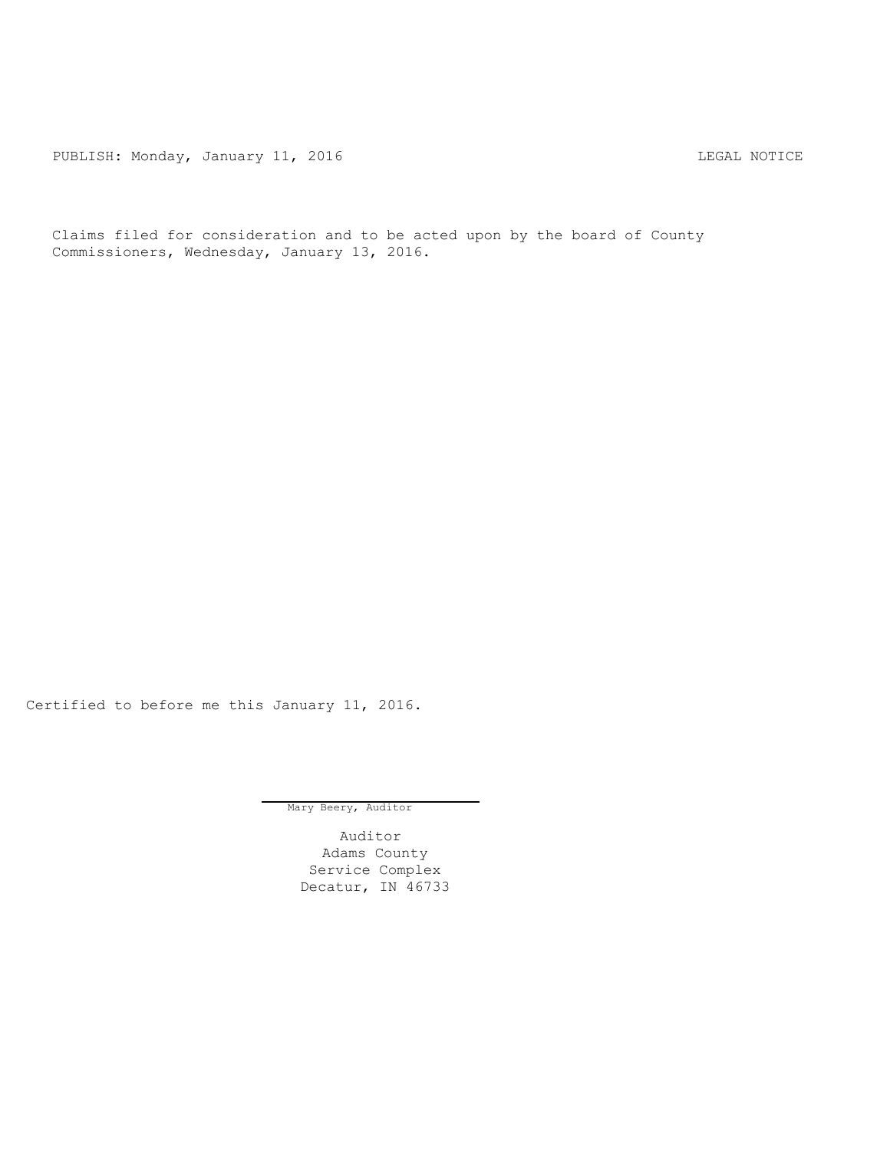PUBLISH: Monday, January 11, 2016 Channel Communications and the CAL NOTICE

Claims filed for consideration and to be acted upon by the board of County Commissioners, Wednesday, January 13, 2016.

Certified to before me this January 11, 2016.

Mary Beery, Auditor

Auditor Adams County Service Complex Decatur, IN 46733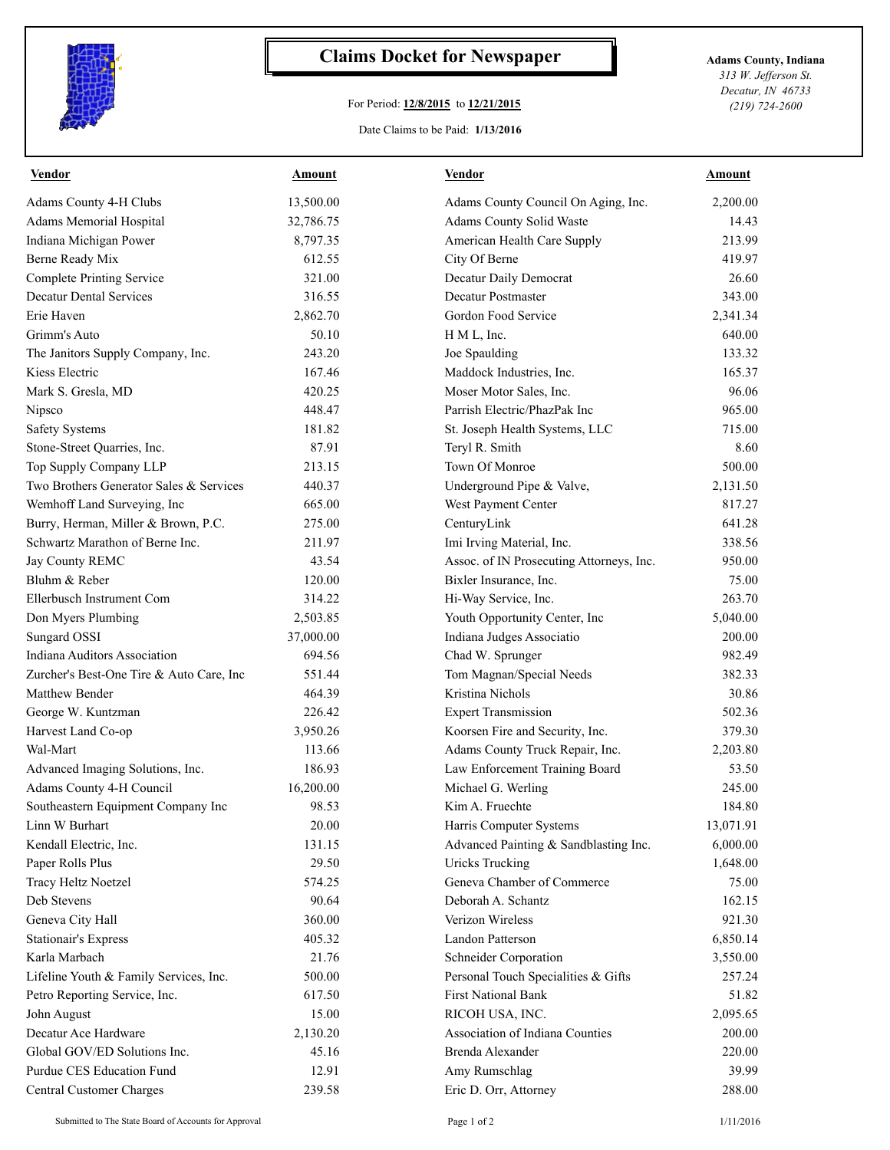

## **Claims Docket for Newspaper Adams County, Indiana**

## For Period: **12/8/2015** to **12/21/2015**

*313 W. Jefferson St. Decatur, IN 46733 (219) 724-2600*

## Date Claims to be Paid: **1/13/2016**

| <b>Vendor</b>                            | Amount    | <b>Vendor</b>                            | Amount    |
|------------------------------------------|-----------|------------------------------------------|-----------|
| Adams County 4-H Clubs                   | 13,500.00 | Adams County Council On Aging, Inc.      | 2,200.00  |
| Adams Memorial Hospital                  | 32,786.75 | Adams County Solid Waste                 | 14.43     |
| Indiana Michigan Power                   | 8,797.35  | American Health Care Supply              | 213.99    |
| Berne Ready Mix                          | 612.55    | City Of Berne                            | 419.97    |
| <b>Complete Printing Service</b>         | 321.00    | Decatur Daily Democrat                   | 26.60     |
| <b>Decatur Dental Services</b>           | 316.55    | Decatur Postmaster                       | 343.00    |
| Erie Haven                               | 2,862.70  | Gordon Food Service                      | 2,341.34  |
| Grimm's Auto                             | 50.10     | H M L, Inc.                              | 640.00    |
| The Janitors Supply Company, Inc.        | 243.20    | Joe Spaulding                            | 133.32    |
| Kiess Electric                           | 167.46    | Maddock Industries, Inc.                 | 165.37    |
| Mark S. Gresla, MD                       | 420.25    | Moser Motor Sales, Inc.                  | 96.06     |
| Nipsco                                   | 448.47    | Parrish Electric/PhazPak Inc             | 965.00    |
| <b>Safety Systems</b>                    | 181.82    | St. Joseph Health Systems, LLC           | 715.00    |
| Stone-Street Quarries, Inc.              | 87.91     | Teryl R. Smith                           | 8.60      |
| Top Supply Company LLP                   | 213.15    | Town Of Monroe                           | 500.00    |
| Two Brothers Generator Sales & Services  | 440.37    | Underground Pipe & Valve,                | 2,131.50  |
| Wemhoff Land Surveying, Inc              | 665.00    | West Payment Center                      | 817.27    |
| Burry, Herman, Miller & Brown, P.C.      | 275.00    | CenturyLink                              | 641.28    |
| Schwartz Marathon of Berne Inc.          | 211.97    | Imi Irving Material, Inc.                | 338.56    |
| Jay County REMC                          | 43.54     | Assoc. of IN Prosecuting Attorneys, Inc. | 950.00    |
| Bluhm & Reber                            | 120.00    | Bixler Insurance, Inc.                   | 75.00     |
| Ellerbusch Instrument Com                | 314.22    | Hi-Way Service, Inc.                     | 263.70    |
| Don Myers Plumbing                       | 2,503.85  | Youth Opportunity Center, Inc            | 5,040.00  |
| Sungard OSSI                             | 37,000.00 | Indiana Judges Associatio                | 200.00    |
| Indiana Auditors Association             | 694.56    | Chad W. Sprunger                         | 982.49    |
| Zurcher's Best-One Tire & Auto Care, Inc | 551.44    | Tom Magnan/Special Needs                 | 382.33    |
| <b>Matthew Bender</b>                    | 464.39    | Kristina Nichols                         | 30.86     |
| George W. Kuntzman                       | 226.42    | <b>Expert Transmission</b>               | 502.36    |
| Harvest Land Co-op                       | 3,950.26  | Koorsen Fire and Security, Inc.          | 379.30    |
| Wal-Mart                                 | 113.66    | Adams County Truck Repair, Inc.          | 2,203.80  |
| Advanced Imaging Solutions, Inc.         | 186.93    | Law Enforcement Training Board           | 53.50     |
| Adams County 4-H Council                 | 16,200.00 | Michael G. Werling                       | 245.00    |
| Southeastern Equipment Company Inc       | 98.53     | Kim A. Fruechte                          | 184.80    |
| Linn W Burhart                           | 20.00     | Harris Computer Systems                  | 13,071.91 |
| Kendall Electric, Inc.                   | 131.15    | Advanced Painting & Sandblasting Inc.    | 6,000.00  |
| Paper Rolls Plus                         | 29.50     | <b>Uricks Trucking</b>                   | 1,648.00  |
| Tracy Heltz Noetzel                      | 574.25    | Geneva Chamber of Commerce               | 75.00     |
| Deb Stevens                              | 90.64     | Deborah A. Schantz                       | 162.15    |
| Geneva City Hall                         | 360.00    | Verizon Wireless                         | 921.30    |
| <b>Stationair's Express</b>              | 405.32    | Landon Patterson                         | 6,850.14  |
| Karla Marbach                            | 21.76     | Schneider Corporation                    | 3,550.00  |
| Lifeline Youth & Family Services, Inc.   | 500.00    | Personal Touch Specialities & Gifts      | 257.24    |
| Petro Reporting Service, Inc.            | 617.50    | First National Bank                      | 51.82     |
| John August                              | 15.00     | RICOH USA, INC.                          | 2,095.65  |
| Decatur Ace Hardware                     | 2,130.20  | Association of Indiana Counties          | 200.00    |
| Global GOV/ED Solutions Inc.             | 45.16     | Brenda Alexander                         | 220.00    |
| Purdue CES Education Fund                | 12.91     | Amy Rumschlag                            | 39.99     |
| Central Customer Charges                 | 239.58    | Eric D. Orr, Attorney                    | 288.00    |